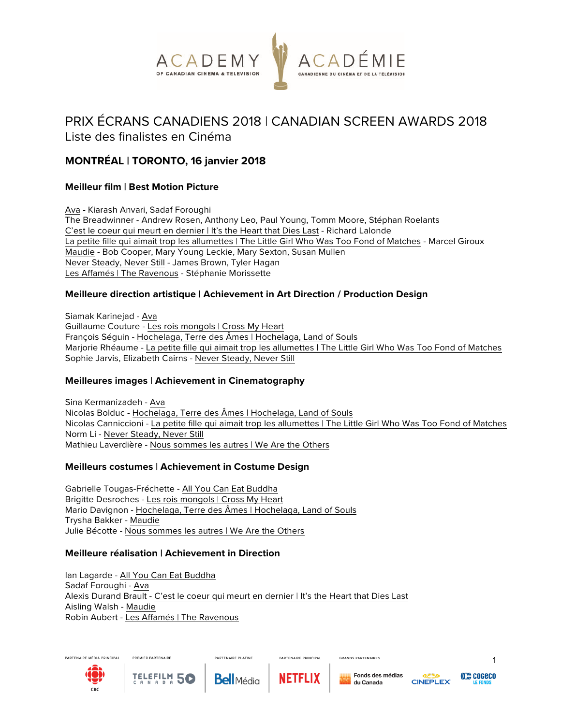

# PRIX ÉCRANS CANADIENS 2018 | CANADIAN SCREEN AWARDS 2018

# Liste des finalistes en Cinéma

# **MONTRÉAL | TORONTO, 16 janvier 2018**

# **Meilleur film | Best Motion Picture**

Ava - Kiarash Anvari, Sadaf Foroughi The Breadwinner - Andrew Rosen, Anthony Leo, Paul Young, Tomm Moore, Stéphan Roelants C'est le coeur qui meurt en dernier | It's the Heart that Dies Last - Richard Lalonde La petite fille qui aimait trop les allumettes | The Little Girl Who Was Too Fond of Matches - Marcel Giroux Maudie - Bob Cooper, Mary Young Leckie, Mary Sexton, Susan Mullen Never Steady, Never Still - James Brown, Tyler Hagan Les Affamés | The Ravenous - Stéphanie Morissette

# **Meilleure direction artistique | Achievement in Art Direction / Production Design**

Siamak Karinejad - Ava Guillaume Couture - Les rois mongols | Cross My Heart François Séguin - Hochelaga, Terre des Âmes | Hochelaga, Land of Souls Marjorie Rhéaume - La petite fille qui aimait trop les allumettes | The Little Girl Who Was Too Fond of Matches Sophie Jarvis, Elizabeth Cairns - Never Steady, Never Still

# **Meilleures images | Achievement in Cinematography**

Sina Kermanizadeh - Ava Nicolas Bolduc - Hochelaga, Terre des Âmes | Hochelaga, Land of Souls Nicolas Canniccioni - La petite fille qui aimait trop les allumettes | The Little Girl Who Was Too Fond of Matches Norm Li - Never Steady, Never Still Mathieu Laverdière - Nous sommes les autres | We Are the Others

## **Meilleurs costumes | Achievement in Costume Design**

Gabrielle Tougas-Fréchette - All You Can Eat Buddha Brigitte Desroches - Les rois mongols | Cross My Heart Mario Davignon - Hochelaga, Terre des Âmes | Hochelaga, Land of Souls Trysha Bakker - Maudie Julie Bécotte - Nous sommes les autres | We Are the Others

## **Meilleure réalisation | Achievement in Direction**

Ian Lagarde - All You Can Eat Buddha Sadaf Foroughi - Ava Alexis Durand Brault - C'est le coeur qui meurt en dernier | It's the Heart that Dies Last Aisling Walsh - Maudie Robin Aubert - Les Affamés | The Ravenous

**PARTENAIRE PLATINE** 





N A D A



PARTENAIRE PRINCIPAL



**GRANDS PARTENAIRES** 



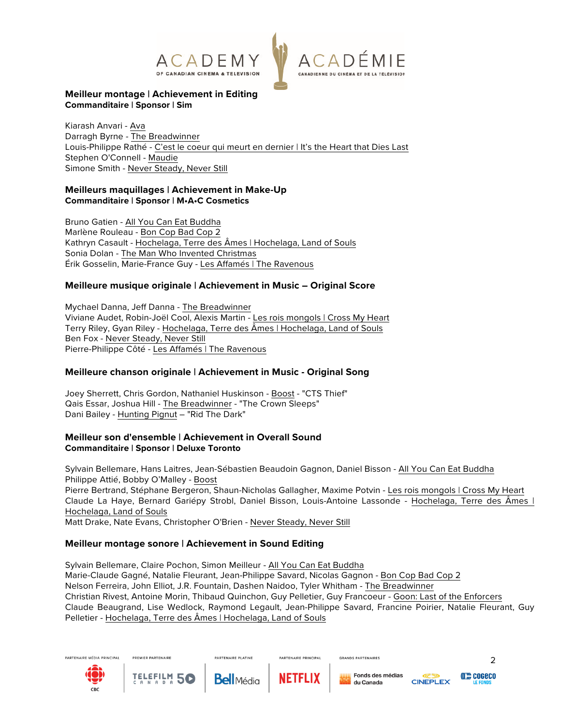



## **Meilleur montage | Achievement in Editing Commanditaire | Sponsor | Sim**

Kiarash Anvari - Ava Darragh Byrne - The Breadwinner Louis-Philippe Rathé - C'est le coeur qui meurt en dernier | It's the Heart that Dies Last Stephen O'Connell - Maudie Simone Smith - Never Steady, Never Still

# **Meilleurs maquillages | Achievement in Make-Up Commanditaire | Sponsor | M•A•C Cosmetics**

Bruno Gatien - All You Can Eat Buddha Marlène Rouleau - Bon Cop Bad Cop 2 Kathryn Casault - Hochelaga, Terre des Âmes | Hochelaga, Land of Souls Sonia Dolan - The Man Who Invented Christmas Érik Gosselin, Marie-France Guy - Les Affamés | The Ravenous

# **Meilleure musique originale | Achievement in Music – Original Score**

Mychael Danna, Jeff Danna - The Breadwinner Viviane Audet, Robin-Joël Cool, Alexis Martin - Les rois mongols | Cross My Heart Terry Riley, Gyan Riley - Hochelaga, Terre des Âmes | Hochelaga, Land of Souls Ben Fox - Never Steady, Never Still Pierre-Philippe Côté - Les Affamés | The Ravenous

## **Meilleure chanson originale | Achievement in Music - Original Song**

Joey Sherrett, Chris Gordon, Nathaniel Huskinson - Boost - "CTS Thief" Qais Essar, Joshua Hill - The Breadwinner - "The Crown Sleeps" Dani Bailey - Hunting Pignut – "Rid The Dark"

## **Meilleur son d'ensemble | Achievement in Overall Sound Commanditaire | Sponsor | Deluxe Toronto**

Sylvain Bellemare, Hans Laitres, Jean-Sébastien Beaudoin Gagnon, Daniel Bisson - All You Can Eat Buddha Philippe Attié, Bobby O'Malley - Boost

Pierre Bertrand, Stéphane Bergeron, Shaun-Nicholas Gallagher, Maxime Potvin - Les rois mongols | Cross My Heart Claude La Haye, Bernard Gariépy Strobl, Daniel Bisson, Louis-Antoine Lassonde - Hochelaga, Terre des Âmes | Hochelaga, Land of Souls

Matt Drake, Nate Evans, Christopher O'Brien - Never Steady, Never Still

# **Meilleur montage sonore | Achievement in Sound Editing**

Sylvain Bellemare, Claire Pochon, Simon Meilleur - All You Can Eat Buddha Marie-Claude Gagné, Natalie Fleurant, Jean-Philippe Savard, Nicolas Gagnon - Bon Cop Bad Cop 2 Nelson Ferreira, John Elliot, J.R. Fountain, Dashen Naidoo, Tyler Whitham - The Breadwinner Christian Rivest, Antoine Morin, Thibaud Quinchon, Guy Pelletier, Guy Francoeur - Goon: Last of the Enforcers Claude Beaugrand, Lise Wedlock, Raymond Legault, Jean-Philippe Savard, Francine Poirier, Natalie Fleurant, Guy Pelletier - Hochelaga, Terre des Âmes | Hochelaga, Land of Souls

PARTENAIRE PRINCIPAL





PREMIER PARTENAIRE



**PARTENAIRE PLATINE** 



**GRANDS PARTENAIRES** 



2

**((())) COGECO**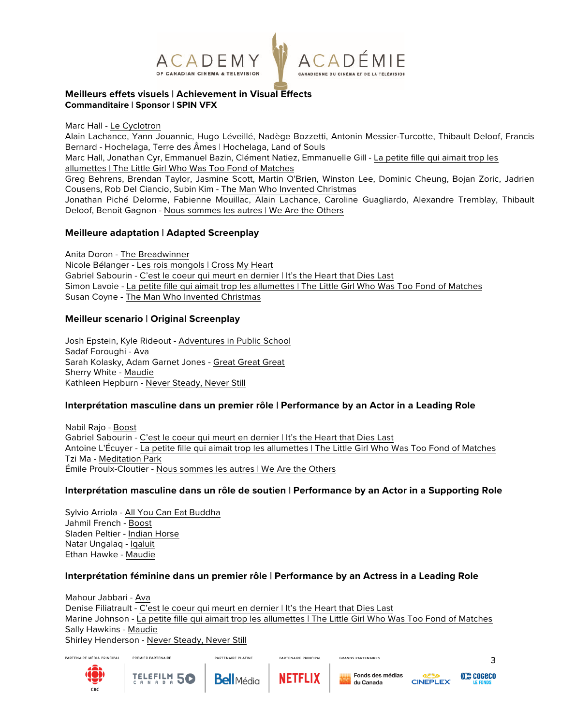

#### **Meilleurs effets visuels | Achievement in Visual Effects Commanditaire | Sponsor | SPIN VFX**

Marc Hall - Le Cyclotron

Alain Lachance, Yann Jouannic, Hugo Léveillé, Nadège Bozzetti, Antonin Messier-Turcotte, Thibault Deloof, Francis Bernard - Hochelaga, Terre des Âmes | Hochelaga, Land of Souls

Marc Hall, Jonathan Cyr, Emmanuel Bazin, Clément Natiez, Emmanuelle Gill - La petite fille qui aimait trop les allumettes | The Little Girl Who Was Too Fond of Matches

Greg Behrens, Brendan Taylor, Jasmine Scott, Martin O'Brien, Winston Lee, Dominic Cheung, Bojan Zoric, Jadrien Cousens, Rob Del Ciancio, Subin Kim - The Man Who Invented Christmas

Jonathan Piché Delorme, Fabienne Mouillac, Alain Lachance, Caroline Guagliardo, Alexandre Tremblay, Thibault Deloof, Benoit Gagnon - Nous sommes les autres | We Are the Others

## **Meilleure adaptation | Adapted Screenplay**

Anita Doron - The Breadwinner Nicole Bélanger - Les rois mongols | Cross My Heart Gabriel Sabourin - C'est le coeur qui meurt en dernier | It's the Heart that Dies Last Simon Lavoie - La petite fille qui aimait trop les allumettes | The Little Girl Who Was Too Fond of Matches Susan Coyne - The Man Who Invented Christmas

## **Meilleur scenario | Original Screenplay**

Josh Epstein, Kyle Rideout - Adventures in Public School Sadaf Foroughi - Ava Sarah Kolasky, Adam Garnet Jones - Great Great Great Sherry White - Maudie Kathleen Hepburn - Never Steady, Never Still

## **Interprétation masculine dans un premier rôle | Performance by an Actor in a Leading Role**

Nabil Rajo - Boost Gabriel Sabourin - C'est le coeur qui meurt en dernier | It's the Heart that Dies Last Antoine L'Écuyer - La petite fille qui aimait trop les allumettes | The Little Girl Who Was Too Fond of Matches Tzi Ma - Meditation Park Émile Proulx-Cloutier - Nous sommes les autres | We Are the Others

## **Interprétation masculine dans un rôle de soutien | Performance by an Actor in a Supporting Role**

Sylvio Arriola - All You Can Eat Buddha Jahmil French - Boost Sladen Peltier - Indian Horse Natar Ungalaq - Iqaluit Ethan Hawke - Maudie

## **Interprétation féminine dans un premier rôle | Performance by an Actress in a Leading Role**

Mahour Jabbari - Ava Denise Filiatrault - C'est le coeur qui meurt en dernier | It's the Heart that Dies Last Marine Johnson - La petite fille qui aimait trop les allumettes | The Little Girl Who Was Too Fond of Matches Sally Hawkins - Maudie Shirley Henderson - Never Steady, Never Still





3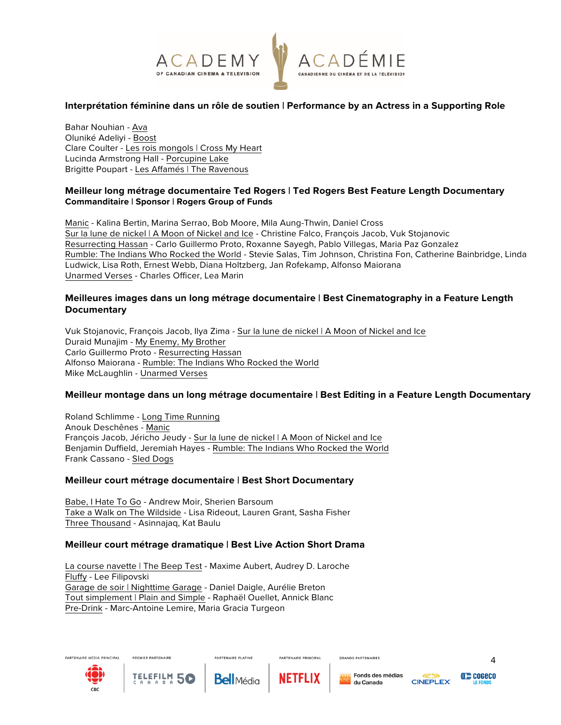

## **Interprétation féminine dans un rôle de soutien | Performance by an Actress in a Supporting Role**

Bahar Nouhian - Ava Oluniké Adeliyi - Boost Clare Coulter - Les rois mongols | Cross My Heart Lucinda Armstrong Hall - Porcupine Lake Brigitte Poupart - Les Affamés | The Ravenous

#### **Meilleur long métrage documentaire Ted Rogers | Ted Rogers Best Feature Length Documentary Commanditaire | Sponsor | Rogers Group of Funds**

Manic - Kalina Bertin, Marina Serrao, Bob Moore, Mila Aung-Thwin, Daniel Cross Sur la lune de nickel | A Moon of Nickel and Ice - Christine Falco, François Jacob, Vuk Stojanovic Resurrecting Hassan - Carlo Guillermo Proto, Roxanne Sayegh, Pablo Villegas, Maria Paz Gonzalez Rumble: The Indians Who Rocked the World - Stevie Salas, Tim Johnson, Christina Fon, Catherine Bainbridge, Linda Ludwick, Lisa Roth, Ernest Webb, Diana Holtzberg, Jan Rofekamp, Alfonso Maiorana Unarmed Verses - Charles Officer, Lea Marin

#### **Meilleures images dans un long métrage documentaire | Best Cinematography in a Feature Length Documentary**

Vuk Stojanovic, François Jacob, Ilya Zima - Sur la lune de nickel | A Moon of Nickel and Ice Duraid Munajim - My Enemy, My Brother Carlo Guillermo Proto - Resurrecting Hassan Alfonso Maiorana - Rumble: The Indians Who Rocked the World Mike McLaughlin - Unarmed Verses

#### **Meilleur montage dans un long métrage documentaire | Best Editing in a Feature Length Documentary**

Roland Schlimme - Long Time Running Anouk Deschênes - Manic François Jacob, Jéricho Jeudy - Sur la lune de nickel | A Moon of Nickel and Ice Benjamin Duffield, Jeremiah Hayes - Rumble: The Indians Who Rocked the World Frank Cassano - Sled Dogs

#### **Meilleur court métrage documentaire | Best Short Documentary**

Babe, I Hate To Go - Andrew Moir, Sherien Barsoum Take a Walk on The Wildside - Lisa Rideout, Lauren Grant, Sasha Fisher Three Thousand - Asinnajaq, Kat Baulu

#### **Meilleur court métrage dramatique | Best Live Action Short Drama**

La course navette | The Beep Test - Maxime Aubert, Audrey D. Laroche Fluffy - Lee Filipovski Garage de soir | Nighttime Garage - Daniel Daigle, Aurélie Breton Tout simplement | Plain and Simple - Raphaël Ouellet, Annick Blanc Pre-Drink - Marc-Antoine Lemire, Maria Gracia Turgeon





PREMIER PARTENAIRE



**PARTENAIRE PLATINE** 



PARTENAIRE PRINCIPAL

Fonds des médias du Canada

**GRANDS PARTENAIRES** 



4